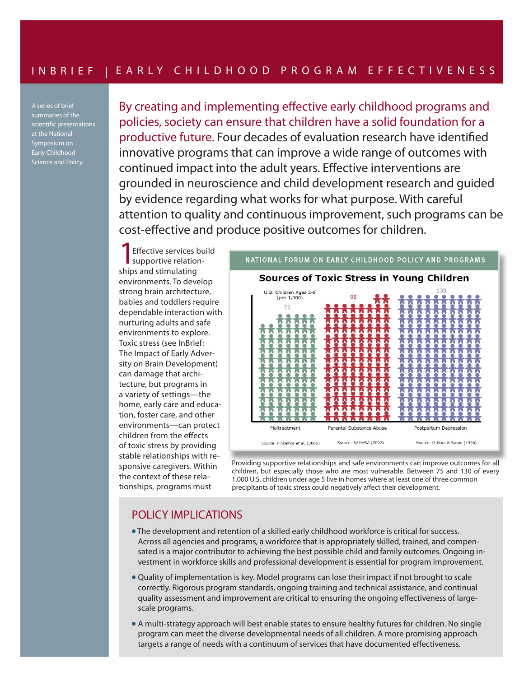A series of brief summaries of the scientific presentations at the National Symposium on v Childhoo Science and Policy.

By creating and implementing effective early childhood programs and policies, society can ensure that children have a solid foundation for a productive future. Four decades of evaluation research have identified innovative programs that can improve a wide range of outcomes with continued impact into the adult years. Effective interventions are grounded in neuroscience and child development research and guided by evidence regarding what works for what purpose. With careful attention to quality and continuous improvement, such programs can be cost-effective and produce positive outcomes for children.

Effective services build supportive relationships and stimulating environments. To develop strong brain architecture, babies and toddlers require dependable interaction with nurturing adults and safe environments to explore. Toxic stress (see InBrief: The Impact of Early Adversity on Brain Development) can damage that architecture, but programs in a variety of settings—the home, early care and education, foster care, and other environments—can protect children from the effects of toxic stress by providing stable relationships with responsive caregivers. Within the context of these relationships, programs must



Providing supportive relationships and safe environments can improve outcomes for all children, but especially those who are most vulnerable. Between 75 and 130 of every 1,000 U.S. children under age 5 live in homes where at least one of three common precipitants of toxic stress could negatively affect their development.

## POLICY IMPLICATIONS

- The development and retention of a skilled early childhood workforce is critical for success. Across all agencies and programs, a workforce that is appropriately skilled, trained, and compensated is a major contributor to achieving the best possible child and family outcomes. Ongoing investment in workforce skills and professional development is essential for program improvement.
- Quality of implementation is key. Model programs can lose their impact if not brought to scale correctly. Rigorous program standards, ongoing training and technical assistance, and continual quality assessment and improvement are critical to ensuring the ongoing effectiveness of largescale programs.
- A multi-strategy approach will best enable states to ensure healthy futures for children. No single program can meet the diverse developmental needs of all children. A more promising approach targets a range of needs with a continuum of services that have documented effectiveness.